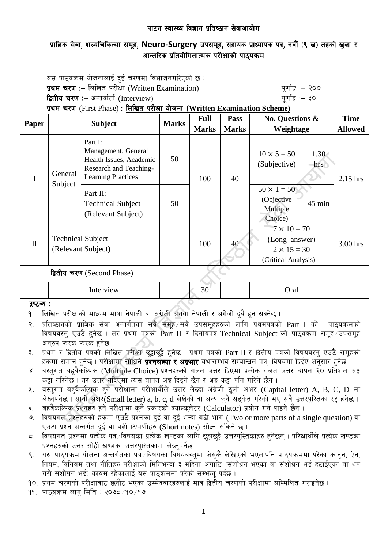### पाटन स्वास्थ्य विज्ञान प्रतिष्ठान सेवाआयोग

# प्राज्ञिक सेवा, शल्यचिकित्सा समूह, Neuro-Surgery उपसमूह, सहायक प्राध्यापक पद, नवौं (९ ख) तहको खुला र आन्तरिक प्रतियोगितात्मक परीक्षाको पाठयक्रम

यस पाठ्यक्रम योजनालाई दुई चरणमा विभाजनगरिएको छ : प्रथम चरण :– लिखित परीक्षा (Written Examination)  $\frac{d}{dx}$  and  $\frac{d}{dx}$  and  $\frac{d}{dx}$  are  $\frac{d}{dx}$ द्वितीय चरण :– अन्तर्वार्ता (Interview) katalactic metal metal metal which we have the set of  $\mathbf{q}$ प्रथम चरण (First Phase) : लिखित परीक्षा योजना (Written Examination Scheme)

| Paper                      | <b>Subject</b>                                 |                                                                                                                  | <b>Marks</b> | <b>Full</b>  | <b>Pass</b>  | No. Questions &                                                                  |             | <b>Time</b>    |
|----------------------------|------------------------------------------------|------------------------------------------------------------------------------------------------------------------|--------------|--------------|--------------|----------------------------------------------------------------------------------|-------------|----------------|
|                            |                                                |                                                                                                                  |              | <b>Marks</b> | <b>Marks</b> | Weightage                                                                        |             | <b>Allowed</b> |
| I                          | General<br>Subject                             | Part I:<br>Management, General<br>Health Issues, Academic<br>Research and Teaching-<br><b>Learning Practices</b> | 50           | 100          | 40           | $10 \times 5 = 50$<br>(Subjective)                                               | 1.30<br>hrs | 2.15 hrs       |
|                            |                                                | Part II:<br><b>Technical Subject</b><br>(Relevant Subject)                                                       | 50           |              |              | $50 \times 1 = 50$<br>(Objective<br>Multiple<br>Choice)                          | 45 min      |                |
| $\mathbf{I}$               | <b>Technical Subject</b><br>(Relevant Subject) |                                                                                                                  |              | 100          | 40           | $7 \times 10 = 70$<br>(Long answer)<br>$2 \times 15 = 30$<br>(Critical Analysis) |             | 3.00 hrs       |
| द्वितीय चरण (Second Phase) |                                                |                                                                                                                  |              |              |              |                                                                                  |             |                |
|                            | Interview                                      |                                                                                                                  |              | 30           | Oral         |                                                                                  |             |                |

## द्रष्टव्य :

- <u>9. लिखित परीक्षाको माध्यम भाषा नेपाली वा अंग्रेजी अथवा नेपाली र अंग्रेजी दुवै हुन सक्नेछ ।</u>
- २. प्रतिष्ठानको प्राज्ञिक सेवा अन्तर्गतका सबै समह ∕सवै उपसमहहरुको लागि प्रथमपत्रको Part I को पाठयक्रमको विषयवस्तु एउटै हुनेछ । तर प्रथम पत्रको Part II र द्वितीयपत्र Technical Subject को पाठ्यक्रम समुह उपसमुह अनुरुप फरक फरक हुनेछ ।
- ३. प्रथम र द्वितीय पत्रको लिखित परीक्षा छट्टाछट्टै हनेछ । प्रथम पत्रको Part II र द्वितीय पत्रको विषयवस्त् एउटै समुहको हकमा समान हुनेछ । परीक्षामा सोधिने **प्रश्नसंख्या र अङ्गभार** यथासम्भव सम्बन्धित पत्र, विषयमा दिईए अनुसार हुनेछ ।
- ४. वस्तुगत बहुवैकस्पिक (Multiple Choice) प्रश्नहरुको गलत उत्तर दिएमा प्रत्येक गलत उत्तर बापत २० प्रतिशत अङ्क कट्टा गरिनेछ । तर उत्तर नदिएमा त्यस बापत अड़ दिइने छैन र अड़ कट्टा पनि गरिने छैन ।
- $\,$ ४. वस्तुगत बहुवैकल्पिक हुने परीक्षामा परीक्षार्थीले उत्तर लेख्दा अंग्रेजी ठुलो अक्षर (Capital letter) A, B, C, D मा लेख्नुपर्नेछ । सानो अक्षर $\widetilde{\textbf{(Small letter)}}$ a, b, c, d लेखेको वा अन्य कुनै सङ्केत गरेको भए सबै उत्तरपुस्तिका रद्द हुनेछ ।
- ६. वहवैकल्पिक प्रश्नहरु हुने परीक्षामा कुनै प्रकारको क्याल्कुलेटर (Calculator) प्रयोग गर्न पाइने छैन ।
- ७. विषयगत प्रश्नहरुको हकमा एउटै प्रश्नका दई वा दई भन्दा बढी भाग (Two or more parts of a single question) वा एउटा प्रश्न अन्तर्गत दई वा बढी टिप्पणीहरु (Short notes) सोध्न सकिने छ।
- $\,$  faषयगत प्रश्नमा प्रत्येक पत्र विषयका प्रत्येक खण्डका लागि छट्टाछट्टै उत्तरपुस्तिकाहरु हुनेछन् । परिक्षार्थीले प्रत्येक खण्डका प्रश्नहरुको उत्तर सोही खण्डका उत्तरपुस्तिकामा लेख्नुपर्नेछ ।
- ९. वस पाठ्यक्रम योजना अन्तर्गतका पत्रॅ ∕विषयका विषयवस्तुमा जेसुकै लेखिएको भएतापनि पाठ्यक्रममा परेका कानून, ऐन, नियम, विनियम तथा नीतिहरु परीक्षाको मितिभन्दा ३ महिना अगाडि (संशोधन भएका वा संशोधन भई हटाईएका वा थप गरी संशोधन भई) कायम रहेकालाई यस पाठकममा परेको सम्भन् पर्दछ ।
- <u>१०. प्रथम चरणको परीक्षाबाट छनौट भएका उम्मेदवारहरुलाई मात्र द्वितीय चरणको परीक्षामा सम्मिलित गराइनेछ ।</u>
- $99.$  पाठुयक्रम लाग मिति : २०७८ $\times$ 19 $\times$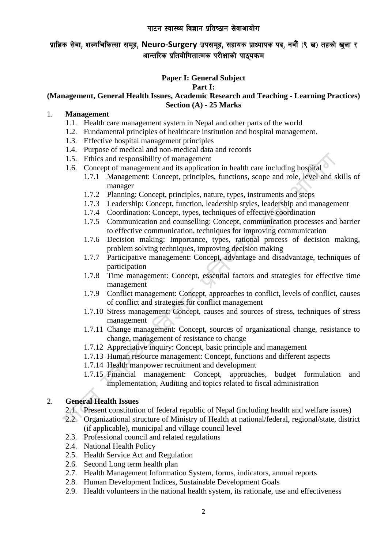### पाटन स्वास्थ्य विज्ञान प्रतिष्ठान सेवाआयोग

# प्राज्ञिक सेवा, शल्यचिकित्सा समूह, Neuro-Surgery उपसमूह, सहायक प्राध्यापक पद, नवौं (९ ख) तहको खुला र आन्तरिक प्रतियोगितात्मक परीक्षाको पाठयक्रम

## **Paper I: General Subject**

#### **Part I:**

#### **(Management, General Health Issues, Academic Research and Teaching - Learning Practices) Section (A) - 25 Marks**

## 1. **Management**

- 1.1. Health care management system in Nepal and other parts of the world
- 1.2. Fundamental principles of healthcare institution and hospital management.
- 1.3. Effective hospital management principles
- 1.4. Purpose of medical and non-medical data and records
- 1.5. Ethics and responsibility of management
- 1.6. Concept of management and its application in health care including hospital
	- 1.7.1 Management: Concept, principles, functions, scope and role, level and skills of manager
	- 1.7.2 Planning: Concept, principles, nature, types, instruments and steps
	- 1.7.3 Leadership: Concept, function, leadership styles, leadership and management
	- 1.7.4 Coordination: Concept, types, techniques of effective coordination
	- 1.7.5 Communication and counselling: Concept, communication processes and barrier to effective communication, techniques for improving communication
	- 1.7.6 Decision making: Importance, types, rational process of decision making, problem solving techniques, improving decision making
	- 1.7.7 Participative management: Concept, advantage and disadvantage, techniques of participation
	- 1.7.8 Time management: Concept, essential factors and strategies for effective time management
	- 1.7.9 Conflict management: Concept, approaches to conflict, levels of conflict, causes of conflict and strategies for conflict management
	- 1.7.10 Stress management: Concept, causes and sources of stress, techniques of stress management
	- 1.7.11 Change management: Concept, sources of organizational change, resistance to change, management of resistance to change
	- 1.7.12 Appreciative inquiry: Concept, basic principle and management
	- 1.7.13 Human resource management: Concept, functions and different aspects
	- 1.7.14 Health manpower recruitment and development
	- 1.7.15 Financial management: Concept, approaches, budget formulation and implementation, Auditing and topics related to fiscal administration

## 2. **General Health Issues**

- 2.1. Present constitution of federal republic of Nepal (including health and welfare issues)
- 2.2. Organizational structure of Ministry of Health at national/federal, regional/state, district (if applicable), municipal and village council level
- 2.3. Professional council and related regulations
- 2.4. National Health Policy
- 2.5. Health Service Act and Regulation
- 2.6. Second Long term health plan
- 2.7. Health Management Information System, forms, indicators, annual reports
- 2.8. Human Development Indices, Sustainable Development Goals
- 2.9. Health volunteers in the national health system, its rationale, use and effectiveness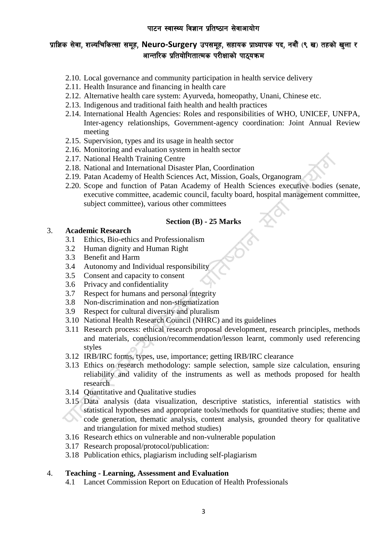- 2.10. Local governance and community participation in health service delivery
- 2.11. Health Insurance and financing in health care
- 2.12. Alternative health care system: Ayurveda, homeopathy, Unani, Chinese etc.
- 2.13. Indigenous and traditional faith health and health practices
- 2.14. International Health Agencies: Roles and responsibilities of WHO, UNICEF, UNFPA, Inter-agency relationships, Government-agency coordination: Joint Annual Review meeting
- 2.15. Supervision, types and its usage in health sector
- 2.16. Monitoring and evaluation system in health sector
- 2.17. National Health Training Centre
- 2.18. National and International Disaster Plan, Coordination
- 2.19. Patan Academy of Health Sciences Act, Mission, Goals, Organogram
- 2.20. Scope and function of Patan Academy of Health Sciences executive bodies (senate, executive committee, academic council, faculty board, hospital management committee, subject committee), various other committees

#### **Section (B) - 25 Marks**

#### 3. **Academic Research**

- 3.1 Ethics, Bio-ethics and Professionalism
- 3.2 Human dignity and Human Right
- 3.3 Benefit and Harm
- 3.4 Autonomy and Individual responsibility
- 3.5 Consent and capacity to consent
- 3.6 Privacy and confidentiality
- 3.7 Respect for humans and personal integrity
- 3.8 Non-discrimination and non-stigmatization
- 3.9 Respect for cultural diversity and pluralism
- 3.10 National Health Research Council (NHRC) and its guidelines
- 3.11 Research process: ethical research proposal development, research principles, methods and materials, conclusion/recommendation/lesson learnt, commonly used referencing styles
- 3.12 IRB/IRC forms, types, use, importance; getting IRB/IRC clearance
- 3.13 Ethics on research methodology: sample selection, sample size calculation, ensuring reliability and validity of the instruments as well as methods proposed for health research
- 3.14 Quantitative and Qualitative studies
- 3.15 Data analysis (data visualization, descriptive statistics, inferential statistics with statistical hypotheses and appropriate tools/methods for quantitative studies; theme and  $\infty$ code generation, thematic analysis, content analysis, grounded theory for qualitative and triangulation for mixed method studies)
- 3.16 Research ethics on vulnerable and non-vulnerable population
- 3.17 Research proposal/protocol/publication:
- 3.18 Publication ethics, plagiarism including self-plagiarism

### 4. **Teaching - Learning, Assessment and Evaluation**

4.1 Lancet Commission Report on Education of Health Professionals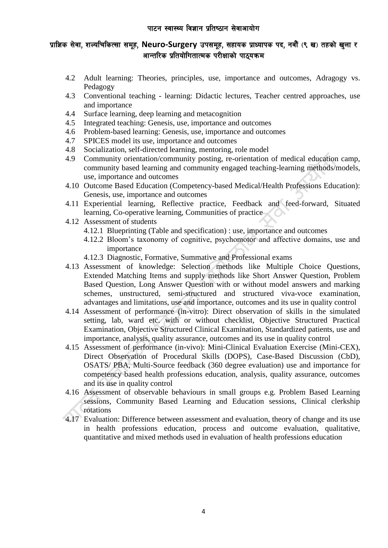- 4.2 Adult learning: Theories, principles, use, importance and outcomes, Adragogy vs. Pedagogy
- 4.3 Conventional teaching learning: Didactic lectures, Teacher centred approaches, use and importance
- 4.4 Surface learning, deep learning and metacognition
- 4.5 Integrated teaching: Genesis, use, importance and outcomes
- 4.6 Problem-based learning: Genesis, use, importance and outcomes
- 4.7 SPICES model its use, importance and outcomes
- 4.8 Socialization, self-directed learning, mentoring, role model
- 4.9 Community orientation/community posting, re-orientation of medical education camp, community based learning and community engaged teaching-learning methods/models, use, importance and outcomes
- 4.10 Outcome Based Education (Competency-based Medical/Health Professions Education): Genesis, use, importance and outcomes
- 4.11 Experiential learning, Reflective practice, Feedback and feed-forward, Situated learning, Co-operative learning, Communities of practice
- 4.12 Assessment of students
	- 4.12.1 Blueprinting (Table and specification) : use, importance and outcomes
	- 4.12.2 Bloom's taxonomy of cognitive, psychomotor and affective domains, use and importance
	- 4.12.3 Diagnostic, Formative, Summative and Professional exams
- 4.13 Assessment of knowledge: Selection methods like Multiple Choice Questions, Extended Matching Items and supply methods like Short Answer Question, Problem Based Question, Long Answer Question with or without model answers and marking schemes, unstructured, semi-structured and structured viva-voce examination, advantages and limitations, use and importance, outcomes and its use in quality control
- 4.14 Assessment of performance (in-vitro): Direct observation of skills in the simulated setting, lab, ward etc. with or without checklist, Objective Structured Practical Examination, Objective Structured Clinical Examination, Standardized patients, use and importance, analysis, quality assurance, outcomes and its use in quality control
- 4.15 Assessment of performance (in-vivo): Mini-Clinical Evaluation Exercise (Mini-CEX), Direct Observation of Procedural Skills (DOPS), Case-Based Discussion (CbD), OSATS/ PBA, Multi-Source feedback (360 degree evaluation) use and importance for competency based health professions education, analysis, quality assurance, outcomes and its use in quality control
- 4.16 Assessment of observable behaviours in small groups e.g. Problem Based Learning sessions, Community Based Learning and Education sessions, Clinical clerkship rotations
- 4.17 Evaluation: Difference between assessment and evaluation, theory of change and its use in health professions education, process and outcome evaluation, qualitative, quantitative and mixed methods used in evaluation of health professions education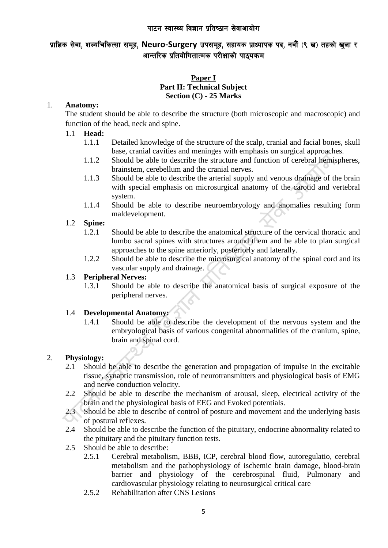### पाटन स्वास्थ्य विज्ञान प्रतिष्ठान सेवाआयोग

## प्राज्ञिक सेवा, शल्यचिकित्सा समूह, Neuro-Surgery उपसमूह, सहायक प्राध्यापक पद, नवौं (९ ख) तहको खुला र आन्तरिक प्रतियोगितात्मक परीक्षाको पाठयक्रम

## **Paper I Part II: Technical Subject Section (C) - 25 Marks**

#### 1. **Anatomy:**

The student should be able to describe the structure (both microscopic and macroscopic) and function of the head, neck and spine.

### 1.1 **Head:**

- 1.1.1 Detailed knowledge of the structure of the scalp, cranial and facial bones, skull base, cranial cavities and meninges with emphasis on surgical approaches.
- 1.1.2 Should be able to describe the structure and function of cerebral hemispheres, brainstem, cerebellum and the cranial nerves.
- 1.1.3 Should be able to describe the arterial supply and venous drainage of the brain with special emphasis on microsurgical anatomy of the carotid and vertebral system.
- 1.1.4 Should be able to describe neuroembryology and anomalies resulting form maldevelopment.

#### 1.2 **Spine:**

- 1.2.1 Should be able to describe the anatomical structure of the cervical thoracic and lumbo sacral spines with structures around them and be able to plan surgical approaches to the spine anteriorly, posteriorly and laterally.
- 1.2.2 Should be able to describe the microsurgical anatomy of the spinal cord and its vascular supply and drainage.

#### 1.3 **Peripheral Nerves:**

1.3.1 Should be able to describe the anatomical basis of surgical exposure of the peripheral nerves.

#### 1.4 **Developmental Anatomy:**

1.4.1 Should be able to describe the development of the nervous system and the embryological basis of various congenital abnormalities of the cranium, spine, brain and spinal cord.

#### 2. **Physiology:**

- 2.1 Should be able to describe the generation and propagation of impulse in the excitable tissue, synaptic transmission, role of neurotransmitters and physiological basis of EMG and nerve conduction velocity.
- 2.2 Should be able to describe the mechanism of arousal, sleep, electrical activity of the brain and the physiological basis of EEG and Evoked potentials.
- 2.3 Should be able to describe of control of posture and movement and the underlying basis of postural reflexes.
- 2.4 Should be able to describe the function of the pituitary, endocrine abnormality related to the pituitary and the pituitary function tests.
- 2.5 Should be able to describe:
	- 2.5.1 Cerebral metabolism, BBB, ICP, cerebral blood flow, autoregulatio, cerebral metabolism and the pathophysiology of ischemic brain damage, blood-brain barrier and physiology of the cerebrospinal fluid, Pulmonary and cardiovascular physiology relating to neurosurgical critical care
	- 2.5.2 Rehabilitation after CNS Lesions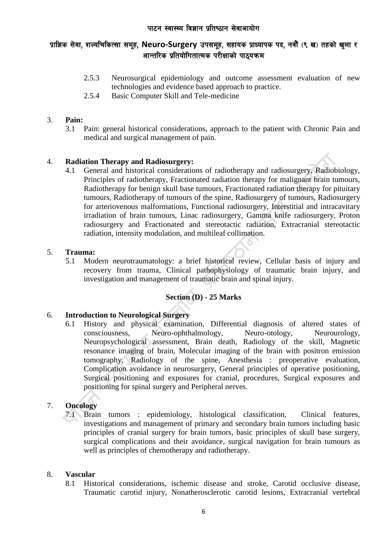- 2.5.3 Neurosurgical epidemiology and outcome assessment evaluation of new technologies and evidence based approach to practice.
- 2.5.4 Basic Computer Skill and Tele-medicine

## 3. **Pain:**

3.1 Pain: general historical considerations, approach to the patient with Chronic Pain and medical and surgical management of pain.

## 4. **Radiation Therapy and Radiosurgery:**

4.1 General and historical considerations of radiotherapy and radiosurgery, Radiobiology, Principles of radiotherapy, Fractionated radiation therapy for malignant brain tumours, Radiotherapy for benign skull base tumours, Fractionated radiation therapy for pituitary tumours, Radiotherapy of tumours of the spine, Radiosurgery of tumours, Radiosurgery for arteriovenous malformations, Functional radiosurgery, Interstitial and intracavitary irradiation of brain tumours, Linac radiosurgery, Gamma knife radiosurgery, Proton radiosurgery and Fractionated and stereotactic radiation, Extracranial stereotactic radiation, intensity modulation, and multileaf collimation.

#### 5. **Trauma:**

5.1 Modern neurotraumatology: a brief historical review, Cellular basis of injury and recovery from trauma, Clinical pathophysiology of traumatic brain injury, and investigation and management of traumatic brain and spinal injury.

## **Section (D) - 25 Marks**

## 6. **Introduction to Neurological Surgery**

6.1 History and physical examination, Differential diagnosis of altered states of consciousness, Neuro-ophthalmology, Neuro-otology, Neurourology, Neuropsychological assessment, Brain death, Radiology of the skill, Magnetic resonance imaging of brain, Molecular imaging of the brain with positron emission tomography, Radiology of the spine, Anesthesia : preoperative evaluation, Complication avoidance in neurosurgery, General principles of operative positioning, Surgical positioning and exposures for cranial, procedures, Surgical exposures and positioning for spinal surgery and Peripheral nerves.

## 7. **Oncology**

7.1 Brain tumors : epidemiology, histological classification, Clinical features, investigations and management of primary and secondary brain tumors including basic principles of cranial surgery for brain tumors, basic principles of skull base surgery, surgical complications and their avoidance, surgical navigation for brain tumours as well as principles of chemotherapy and radiotherapy.

#### 8. **Vascular**

8.1 Historical considerations, ischemic disease and stroke, Carotid occlusive disease, Traumatic carotid injury, Nonatherosclerotic carotid lesions, Extracranial vertebral